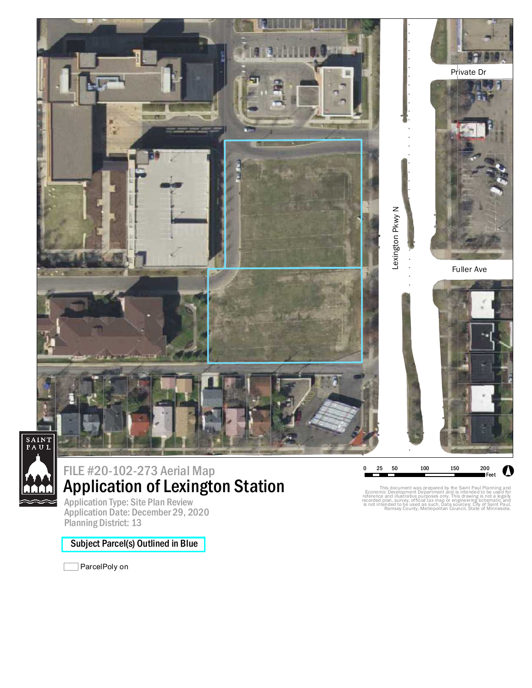

## Application of Lexington Station FILE #20-102-273 Aerial Map

Application Type: Site Plan Review Application Date: December 29, 2020 Planning District: 13

## Subject Parcel(s) Outlined in Blue

ParcelPoly on

This document was prepared by the Saint Paul Planning and<br>Economic Development Department and is intended to be used for<br>reference and illustrative purposes only. This drawing is not a legally<br>recorded plan, survey, offici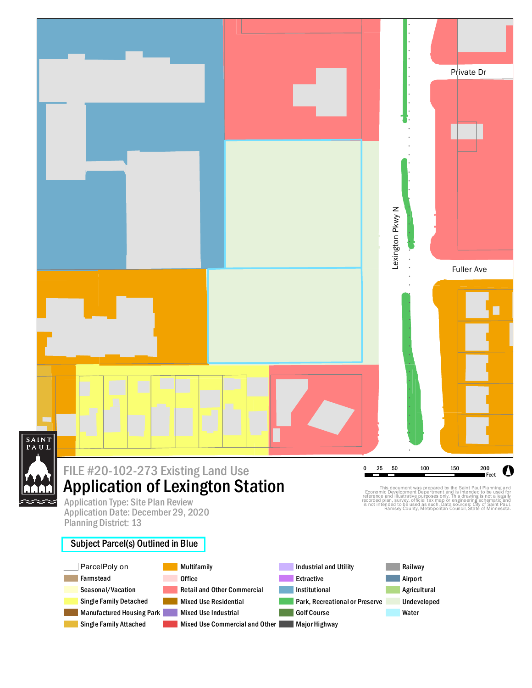